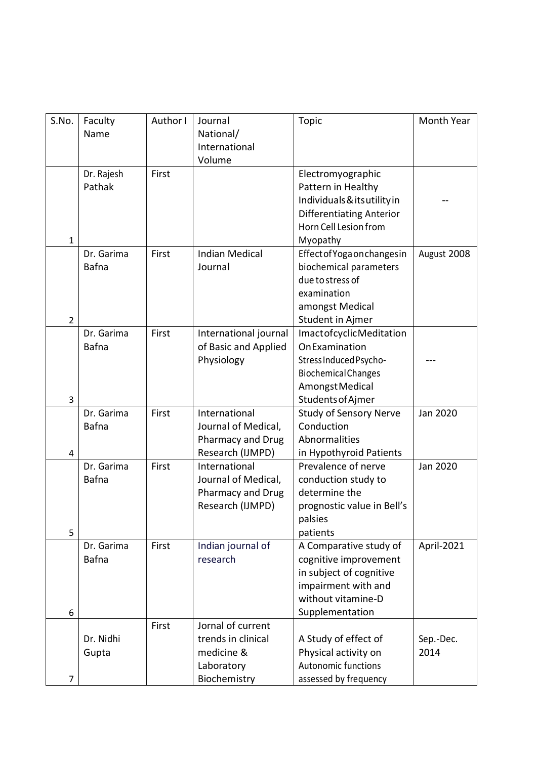| S.No.          | Faculty<br>Name      | Author I | Journal<br>National/<br>International   | Topic                                                    | Month Year        |
|----------------|----------------------|----------|-----------------------------------------|----------------------------------------------------------|-------------------|
|                |                      |          | Volume                                  |                                                          |                   |
|                | Dr. Rajesh<br>Pathak | First    |                                         | Electromyographic<br>Pattern in Healthy                  |                   |
|                |                      |          |                                         | Individuals & its utility in                             |                   |
|                |                      |          |                                         | <b>Differentiating Anterior</b><br>Horn Cell Lesion from |                   |
| $\mathbf{1}$   |                      |          |                                         | Myopathy                                                 |                   |
|                | Dr. Garima           | First    | <b>Indian Medical</b>                   | Effect of Yoga on changes in                             | August 2008       |
|                | Bafna                |          | Journal                                 | biochemical parameters                                   |                   |
|                |                      |          |                                         | due to stress of                                         |                   |
|                |                      |          |                                         | examination                                              |                   |
|                |                      |          |                                         | amongst Medical                                          |                   |
| $\overline{2}$ |                      |          |                                         | Student in Ajmer                                         |                   |
|                | Dr. Garima           | First    | International journal                   | <b>ImactofcyclicMeditation</b>                           |                   |
|                | <b>Bafna</b>         |          | of Basic and Applied                    | OnExamination                                            |                   |
|                |                      |          | Physiology                              | Stress Induced Psycho-                                   |                   |
|                |                      |          |                                         | <b>Biochemical Changes</b>                               |                   |
|                |                      |          |                                         | Amongst Medical                                          |                   |
| 3              |                      |          |                                         | <b>Students of Ajmer</b>                                 |                   |
|                | Dr. Garima           | First    | International                           | <b>Study of Sensory Nerve</b>                            | Jan 2020          |
|                | Bafna                |          | Journal of Medical,                     | Conduction<br>Abnormalities                              |                   |
| $\overline{4}$ |                      |          | Pharmacy and Drug<br>Research (IJMPD)   | in Hypothyroid Patients                                  |                   |
|                | Dr. Garima           | First    | International                           | Prevalence of nerve                                      | Jan 2020          |
|                | <b>Bafna</b>         |          | Journal of Medical,                     | conduction study to                                      |                   |
|                |                      |          | Pharmacy and Drug                       | determine the                                            |                   |
|                |                      |          | Research (IJMPD)                        | prognostic value in Bell's                               |                   |
|                |                      |          |                                         | palsies                                                  |                   |
| 5              |                      |          |                                         | patients                                                 |                   |
|                | Dr. Garima           | First    | Indian journal of                       | A Comparative study of                                   | April-2021        |
|                | <b>Bafna</b>         |          | research                                | cognitive improvement                                    |                   |
|                |                      |          |                                         | in subject of cognitive                                  |                   |
|                |                      |          |                                         | impairment with and                                      |                   |
|                |                      |          |                                         | without vitamine-D                                       |                   |
| 6              |                      |          |                                         | Supplementation                                          |                   |
|                | Dr. Nidhi            | First    | Jornal of current<br>trends in clinical |                                                          |                   |
|                |                      |          | medicine &                              | A Study of effect of<br>Physical activity on             | Sep.-Dec.<br>2014 |
|                | Gupta                |          | Laboratory                              | Autonomic functions                                      |                   |
| $\overline{7}$ |                      |          | Biochemistry                            | assessed by frequency                                    |                   |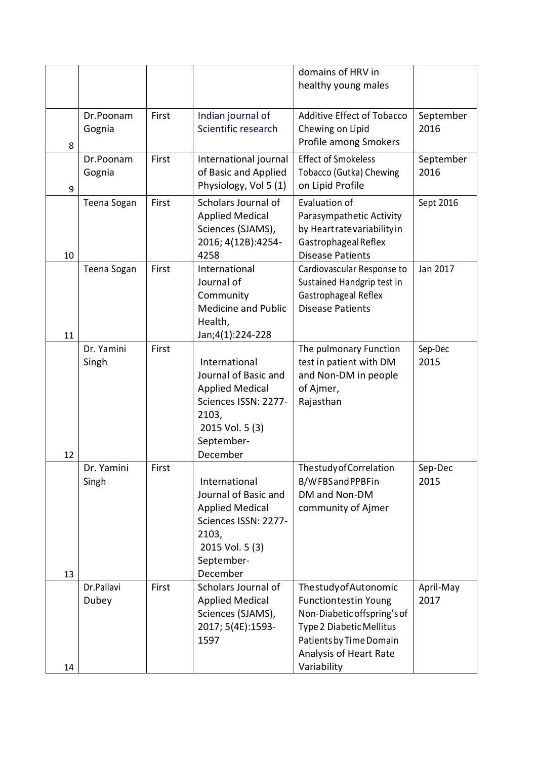|    |                     |       |                                                                                                                                               | domains of HRV in<br>healthy young males                                                                                                                                          |                   |
|----|---------------------|-------|-----------------------------------------------------------------------------------------------------------------------------------------------|-----------------------------------------------------------------------------------------------------------------------------------------------------------------------------------|-------------------|
| 8  | Dr.Poonam<br>Gognia | First | Indian journal of<br>Scientific research                                                                                                      | Additive Effect of Tobacco<br>Chewing on Lipid<br>Profile among Smokers                                                                                                           | September<br>2016 |
| 9  | Dr.Poonam<br>Gognia | First | International journal<br>of Basic and Applied<br>Physiology, Vol 5 (1)                                                                        | <b>Effect of Smokeless</b><br>Tobacco (Gutka) Chewing<br>on Lipid Profile                                                                                                         | September<br>2016 |
| 10 | Teena Sogan         | First | Scholars Journal of<br><b>Applied Medical</b><br>Sciences (SJAMS),<br>2016; 4(12B):4254-<br>4258                                              | Evaluation of<br>Parasympathetic Activity<br>by Heartrate variability in<br><b>Gastrophageal Reflex</b><br><b>Disease Patients</b>                                                | Sept 2016         |
| 11 | Teena Sogan         | First | International<br>Journal of<br>Community<br><b>Medicine and Public</b><br>Health,<br>Jan;4(1):224-228                                         | Cardiovascular Response to<br>Sustained Handgrip test in<br>Gastrophageal Reflex<br><b>Disease Patients</b>                                                                       | Jan 2017          |
| 12 | Dr. Yamini<br>Singh | First | International<br>Journal of Basic and<br><b>Applied Medical</b><br>Sciences ISSN: 2277-<br>2103,<br>2015 Vol. 5 (3)<br>September-<br>December | The pulmonary Function<br>test in patient with DM<br>and Non-DM in people<br>of Ajmer,<br>Rajasthan                                                                               | Sep-Dec<br>2015   |
| 13 | Dr. Yamini<br>Singh | First | International<br>Journal of Basic and<br><b>Applied Medical</b><br>Sciences ISSN: 2277-<br>2103,<br>2015 Vol. 5 (3)<br>September-<br>December | Thestudy of Correlation<br>B/WFBSandPPBFin<br>DM and Non-DM<br>community of Ajmer                                                                                                 | Sep-Dec<br>2015   |
| 14 | Dr.Pallavi<br>Dubey | First | Scholars Journal of<br><b>Applied Medical</b><br>Sciences (SJAMS),<br>2017; 5(4E):1593-<br>1597                                               | ThestudyofAutonomic<br><b>Functiontestin Young</b><br>Non-Diabetic offspring's of<br>Type 2 Diabetic Mellitus<br>Patients by Time Domain<br>Analysis of Heart Rate<br>Variability | April-May<br>2017 |